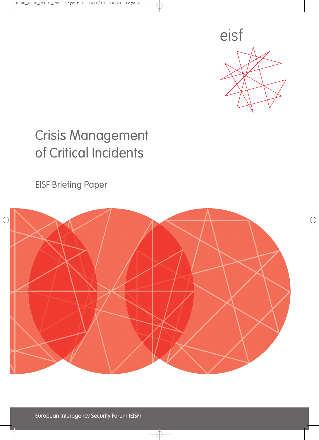

## Crisis Management of Critical Incidents

EISF Briefing Paper

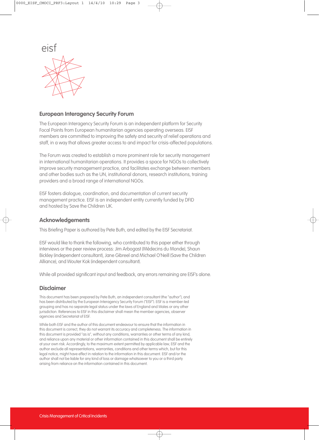

#### **European Interagency Security Forum**

The European Interagency Security Forum is an independent platform for Security Focal Points from European humanitarian agencies operating overseas. EISF members are committed to improving the safety and security of relief operations and staff, in a way that allows greater access to and impact for crisis-affected populations.

The Forum was created to establish a more prominent role for security management in international humanitarian operations. It provides a space for NGOs to collectively improve security management practice, and facilitates exchange between members and other bodies such as the UN, institutional donors, research institutions, training providers and a broad range of international NGOs.

EISF fosters dialogue, coordination, and documentation of current security management practice. EISF is an independent entity currently funded by DFID and hosted by Save the Children UK.

#### **Acknowledgements**

This Briefing Paper is authored by Pete Buth, and edited by the EISF Secretariat.

EISF would like to thank the following, who contributed to this paper either through interviews or the peer review process: Jim Arbogast (Médecins du Monde), Shaun Bickley (independent consultant), Jane Gibreel and Michael O'Neill (Save the Children Alliance), and Wouter Kok (independent consultant).

While all provided significant input and feedback, any errors remaining are EISF's alone.

#### **Disclaimer**

This document has been prepared by Pete Buth, an independent consultant (the "author"), and has been distributed by the European Interagency Security Forum ("EISF"). EISF is a member-led grouping and has no separate legal status under the laws of England and Wales or any other jurisdiction. References to EISF in this disclaimer shall mean the member agencies, observer agencies and Secretariat of EISF.

While both EISF and the author of this document endeavour to ensure that the information in this document is correct, they do not warrant its accuracy and completeness. The information in this document is provided "as is", without any conditions, warranties or other terms of any kind, and reliance upon any material or other information contained in this document shall be entirely at your own risk. Accordingly, to the maximum extent permitted by applicable law, EISF and the author exclude all representations, warranties, conditions and other terms which, but for this legal notice, might have effect in relation to the information in this document. EISF and/or the author shall not be liable for any kind of loss or damage whatsoever to you or a third party arising from reliance on the information contained in this document.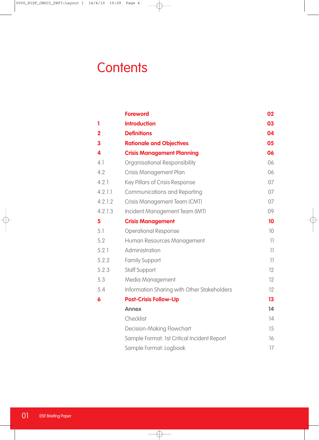### **Contents**

|                         | <b>Foreword</b>                             | 02 |
|-------------------------|---------------------------------------------|----|
| 1                       | <b>Introduction</b>                         | 03 |
| $\overline{\mathbf{2}}$ | <b>Definitions</b>                          | 04 |
| 3                       | <b>Rationale and Objectives</b>             | 05 |
| 4                       | <b>Crisis Management Planning</b>           | 06 |
| 4.1                     | Organisational Responsibility               | 06 |
| 4.2                     | Crisis Management Plan                      | 06 |
| 4.2.1                   | Key Pillars of Crisis Response              | 07 |
| 4.2.1.1                 | <b>Communications and Reporting</b>         | 07 |
| 4.2.1.2                 | Crisis Management Team (CMT)                | 07 |
| 4.2.1.3                 | Incident Management Team (IMT)              | 09 |
| 5                       | <b>Crisis Management</b>                    | 10 |
| 5.1                     | <b>Operational Response</b>                 | 10 |
| 5.2                     | Human Resources Management                  | 11 |
| 5.2.1                   | Administration                              | 11 |
| 5.2.2                   | <b>Family Support</b>                       | 11 |
| 5.2.3                   | <b>Staff Support</b>                        | 12 |
| 5.3                     | Media Management                            | 12 |
| 5.4                     | Information Sharing with Other Stakeholders | 12 |
| 6                       | <b>Post-Crisis Follow-Up</b>                | 13 |
|                         | <b>Annex</b>                                | 14 |
|                         | Checklist                                   | 14 |
|                         | Decision-Making Flowchart                   | 15 |
|                         | Sample Format: 1st Critical Incident Report | 16 |
|                         | Sample Format: Logbook                      | 17 |
|                         |                                             |    |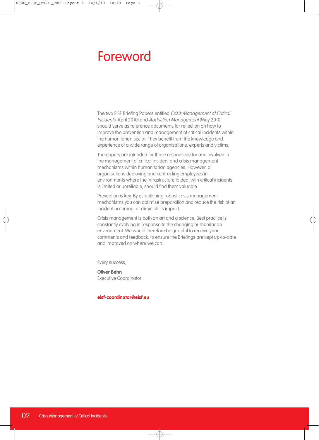### Foreword

The two EISF Briefing Papers entitled Crisis Management of Critical Incidents (April 2010) and Abduction Management (May 2010) should serve as reference documents for reflection on how to improve the prevention and management of critical incidents within the humanitarian sector. They benefit from the knowledge and experience of a wide range of organisations, experts and victims.

The papers are intended for those responsible for and involved in the management of critical incident and crisis management mechanisms within humanitarian agencies. However, all organisations deploying and contracting employees in environments where the infrastructure to deal with critical incidents is limited or unreliable, should find them valuable.

Prevention is key. By establishing robust crisis management mechanisms you can optimise preparation and reduce the risk of an incident occurring, or diminish its impact.

Crisis management is both an art and a science. Best practice is constantly evolving in response to the changing humanitarian environment. We would therefore be grateful to receive your comments and feedback, to ensure the Briefings are kept up-to-date and improved on where we can.

Every success,

**Oliver Behn** Executive Coordinator

**eisf-coordinator@eisf.eu**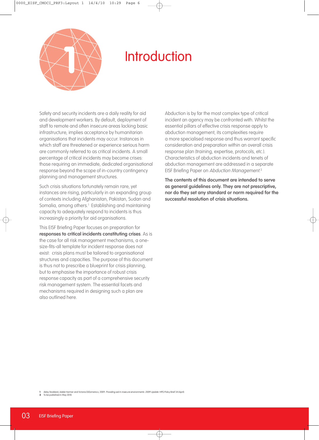

### **Introduction**

Safety and security incidents are a daily reality for aid and development workers. By default, deployment of staff to remote and often insecure areas lacking basic infrastructure, implies acceptance by humanitarian organisations that incidents may occur. Instances in which staff are threatened or experience serious harm are commonly referred to as critical incidents. A small percentage of critical incidents may become crises: those requiring an immediate, dedicated organisational response beyond the scope of in-country contingency planning and management structures.

Such crisis situations fortunately remain rare, yet instances are rising, particularly in an expanding group of contexts including Afghanistan, Pakistan, Sudan and Somalia, among others. <sup>1</sup> Establishing and maintaining capacity to adequately respond to incidents is thus increasingly a priority for aid organisations.

This EISF Briefing Paper focuses on preparation for **responses to critical incidents constituting crises**. As is the case for all risk management mechanisms, a onesize-fits-all template for incident response does not exist: crisis plans must be tailored to organisational structures and capacities. The purpose of this document is thus not to prescribe a blueprint for crisis planning, but to emphasise the importance of robust crisis response capacity as part of a comprehensive security risk management system. The essential facets and mechanisms required in designing such a plan are also outlined here.

Abduction is by far the most complex type of critical incident an agency may be confronted with. Whilst the essential pillars of effective crisis response apply to abduction management, its complexities require a more specialised response and thus warrant specific consideration and preparation within an overall crisis response plan (training, expertise, protocols, etc.). Characteristics of abduction incidents and tenets of abduction management are addressed in a separate EISF Briefing Paper on Abduction Management.<sup>2</sup>

**The contents of this document are intended to serve as general guidelines only. They are not prescriptive, nor do they set any standard or norm required for the successful resolution of crisis situations.**

**1** Abby Stoddard, Adele Harmer and Victoria DiDomenico, 2009. Providing aid in insecure environments: 2009 Update. HPG Policy Brief 34 (April).

**2** To be published in May 2010.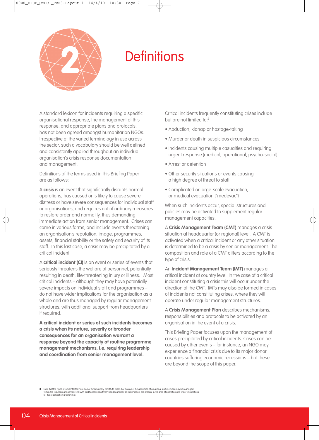

### Definitions **2**

A standard lexicon for incidents requiring a specific organisational response, the management of this response, and appropriate plans and protocols, has not been agreed amongst humanitarian NGOs. Irrespective of the varied terminology in use across the sector, such a vocabulary should be well defined and consistently applied throughout an individual organisation's crisis response documentation and management.

Definitions of the terms used in this Briefing Paper are as follows:

A **crisis** is an event that significantly disrupts normal operations, has caused or is likely to cause severe distress or have severe consequences for individual staff or organisations, and requires out of ordinary measures to restore order and normality, thus demanding immediate action from senior management. Crises can come in various forms, and include events threatening an organisation's reputation, image, programmes, assets, financial stability or the safety and security of its staff. In this last case, a crisis may be precipitated by a critical incident.

A **critical incident (CI)** is an event or series of events that seriously threatens the welfare of personnel, potentially resulting in death, life-threatening injury or illness. Most critical incidents – although they may have potentially severe impacts on individual staff and programmes – do not have wider implications for the organisation as a whole and are thus managed by regular management structures, with additional support from headquarters if required.

**A critical incident or series of such incidents becomes a crisis when its nature, severity or broader consequences for an organisation warrant a response beyond the capacity of routine programme management mechanisms, i.e. requiring leadership and coordination from senior management level.**

Critical incidents frequently constituting crises include but are not limited to:<sup>3</sup>

- Abduction, kidnap or hostage-taking
- Murder or death in suspicious circumstances
- Incidents causing multiple casualties and requiring urgent response (medical, operational, psycho-social)
- Arrest or detention
- Other security situations or events causing a high degree of threat to staff
- Complicated or large-scale evacuation, or medical evacuation ("medevac")

When such incidents occur, special structures and policies may be activated to supplement regular management capacities.

A **Crisis Management Team (CMT)** manages a crisis situation at headquarter (or regional) level. A CMT is activated when a critical incident or any other situation is determined to be a crisis by senior management. The composition and role of a CMT differs according to the type of crisis.

An **Incident Management Team (IMT)** manages a critical incident at country level. In the case of a critical incident constituting a crisis this will occur under the direction of the CMT. IMTs may also be formed in cases of incidents not constituting crises, where they will operate under regular management structures.

A **Crisis Management Plan** describes mechanisms, responsibilities and protocols to be activated by an organisation in the event of a crisis.

This Briefing Paper focuses upon the management of crises precipitated by critical incidents. Crises can be caused by other events – for instance, an NGO may experience a financial crisis due to its major donor countries suffering economic recessions – but these are beyond the scope of this paper.

<sup>3</sup> Note that the types of incident listed here do not automatically constitute crises. For example, the abduction of a national staff member may be managed within the regular management line (with additional support from he for the organisation are minimal.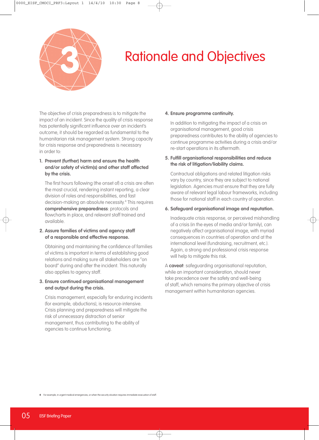

## Rationale and Objectives **3**

The objective of crisis preparedness is to mitigate the impact of an incident. Since the quality of crisis response has potentially significant influence over an incident's outcome, it should be regarded as fundamental to the humanitarian risk management system. Strong capacity for crisis response and preparedness is necessary in order to:

#### **1. Prevent (further) harm and ensure the health and/or safety of victim(s) and other staff affected by the crisis.**

The first hours following (the onset of) a crisis are often the most crucial, rendering instant reporting, a clear division of roles and responsibilities, and fast decision-making an absolute necessity. <sup>4</sup> This requires **comprehensive preparedness**: protocols and flowcharts in place, and relevant staff trained and available.

#### **2. Assure families of victims and agency staff of a responsible and effective response.**

Obtaining and maintaining the confidence of families of victims is important in terms of establishing good relations and making sure all stakeholders are "on board" during and after the incident. This naturally also applies to agency staff.

#### **3. Ensure continued organisational management and output during the crisis.**

Crisis management, especially for enduring incidents (for example, abductions), is resource-intensive. Crisis planning and preparedness will mitigate the risk of unnecessary distraction of senior management, thus contributing to the ability of agencies to continue functioning.

#### **4. Ensure programme continuity.**

In addition to mitigating the impact of a crisis on organisational management, good crisis preparedness contributes to the ability of agencies to continue programme activities during a crisis and/or re-start operations in its aftermath.

#### **5. Fulfill organisational responsibilities and reduce the risk of litigation/liability claims.**

Contractual obligations and related litigation risks vary by country, since they are subject to national legislation. Agencies must ensure that they are fully aware of relevant legal labour frameworks, including those for national staff in each country of operation.

#### **6. Safeguard organisational image and reputation.**

Inadequate crisis response, or perceived mishandling of a crisis (in the eyes of media and/or family), can negatively affect organisational image, with myriad consequences in countries of operation and at the international level (fundraising, recruitment, etc.). Again, a strong and professional crisis response will help to mitigate this risk.

A **caveat**: safeguarding organisational reputation, while an important consideration, should never take precedence over the safety and well-being of staff, which remains the primary objective of crisis management within humanitarian agencies.

**4** For example, in urgent medical emergencies, or when the security situation requires immediate evacuation of staff.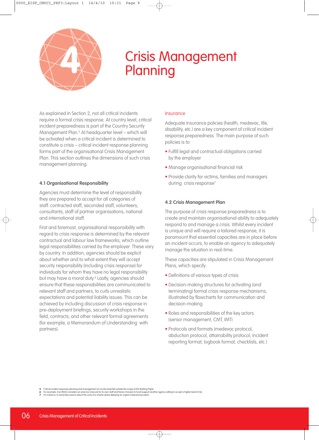

# Crisis Management **4** Planning

As explained in Section 2, not all critical incidents require a formal crisis response. At country level, critical incident preparedness is part of the Country Security Management Plan. <sup>5</sup> At headquarter level – which will be activated when a critical incident is determined to constitute a crisis – critical incident response planning forms part of the organisational Crisis Management Plan. This section outlines the dimensions of such crisis management planning.

#### **4.1 Organisational Responsibility**

Agencies must determine the level of responsibility they are prepared to accept for all categories of staff: contracted staff, seconded staff, volunteers, consultants, staff of partner organisations, national and international staff.

First and foremost, organisational responsibility with regard to crisis response is determined by the relevant contractual and labour law frameworks, which outline legal responsibilities carried by the employer. These vary by country. In addition, agencies should be explicit about whether and to what extent they will accept security responsibility (including crisis response) for individuals for whom they have no legal responsibility but may have a moral duty. <sup>6</sup> Lastly, agencies should ensure that these responsibilities are communicated to relevant staff and partners, to curb unrealistic expectations and potential liability issues. This can be achieved by including discussion of crisis response in pre-deployment briefings, security workshops in the field, contracts, and other relevant formal agreements (for example, a Memorandum of Understanding with partners).

#### Insurance

Adequate insurance policies (health, medevac, life, disability, etc.) are a key component of critical incident response preparedness. The main purpose of such policies is to:

- Fulfill legal and contractual obligations carried by the employer
- Manage organisational financial risk
- Provide clarity for victims, families and managers during crisis response<sup>7</sup>

#### **4.2 Crisis Management Plan**

The purpose of crisis response preparedness is to create and maintain organisational ability to adequately respond to and manage a crisis. Whilst every incident is unique and will require a tailored response, it is paramount that essential capacities are in place before an incident occurs, to enable an agency to adequately manage the situation in real-time.

These capacities are stipulated in Crisis Management Plans, which specify:

- Definitions of various types of crisis
- Decision-making structures for activating (and terminating) formal crisis response mechanisms, illustrated by flowcharts for communication and decision-making
- Roles and responsibilities of the key actors (senior management, CMT, IMT)
- Protocols and formats (medevac protocol, abduction protocol, attainability protocol, incident reporting format, logbook format, checklists, etc.)

<sup>5</sup> Critical incident response planning and management at country level fall outside the scope of this Briefing Paper.<br>6 For example, if an INGO considers an area too insecure for its own staff and hence chooses to fund/supp

**<sup>7</sup>** For instance, to avoid discussions about the costs of a charter plane delaying an urgent medical evacuation.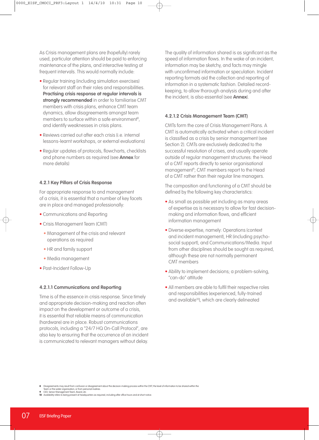As Crisis management plans are (hopefully) rarely used, particular attention should be paid to enforcing maintenance of the plans, and interactive testing at frequent intervals. This would normally include:

- Regular training (including simulation exercises) for relevant staff on their roles and responsibilities. **Practising crisis response at regular intervals is strongly recommended** in order to familiarise CMT members with crisis plans, enhance CMT team dynamics, allow disagreements amongst team members to surface within a safe environment 8 , and identify weaknesses in crisis plans.
- Reviews carried out after each crisis (i.e. internal lessons-learnt workshops, or external evaluations)
- Regular updates of protocols, flowcharts, checklists and phone numbers as required (see **Annex** for more details)

#### **4.2.1 Key Pillars of Crisis Response**

For appropriate response to and management of a crisis, it is essential that a number of key facets are in place and managed professionally:

- Communications and Reporting
- Crisis Management Team (CMT)
	- Management of the crisis and relevant operations as required
	- HR and family support
	- Media management
- Post-Incident Follow-Up

#### **4.2.1.1 Communications and Reporting**

Time is of the essence in crisis response. Since timely and appropriate decision-making and reaction often impact on the development or outcome of a crisis, it is essential that reliable means of communication (hardware) are in place. Robust communications protocols, including a "24/7 HQ On-Call Protocol", are also key to ensuring that the occurrence of an incident is communicated to relevant managers without delay.

The quality of information shared is as significant as the speed of information flows. In the wake of an incident, information may be sketchy, and facts may mingle with unconfirmed information or speculation. Incident reporting formats aid the collection and reporting of information in a systematic fashion. Detailed recordkeeping, to allow thorough analysis during and after the incident, is also essential (see **Annex**).

#### **4.2.1.2 Crisis Management Team (CMT)**

CMTs form the core of Crisis Management Plans. A CMT is automatically activated when a critical incident is classified as a crisis by senior management (see Section 2). CMTs are exclusively dedicated to the successful resolution of crises, and usually operate outside of regular management structures: the Head of a CMT reports directly to senior organisational management<sup>9</sup>; CMT members report to the Head of a CMT rather than their regular line managers.

The composition and functioning of a CMT should be defined by the following key characteristics:

- As small as possible yet including as many areas of expertise as is necessary to allow for fast decisionmaking and information flows, and efficient information management
- Diverse expertise, namely: Operations (context and incident management), HR (including psychosocial support), and Communications/Media. Input from other disciplines should be sought as required, although these are not normally permanent CMT members
- Ability to implement decisions; a problem-solving, "can-do" attitude
- All members are able to fulfil their respective roles and responsibilities (experienced, fully-trained and available<sup>10</sup>), which are clearly delineated

- 
- **10** Availability refers to being present at headquarters as required, including after office hours and at short notice.

<sup>8</sup> Disagreements may result from confusion or disagreement about the decision-making process within the CMT, the level of information to be shared within the<br>Team or the wider organisation, or from personal rivalries.<br>9 CEO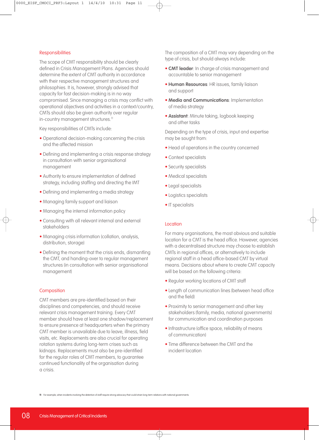#### **Responsibilities**

The scope of CMT responsibility should be clearly defined in Crisis Management Plans. Agencies should determine the extent of CMT authority in accordance with their respective management structures and philosophies. It is, however, strongly advised that capacity for fast decision-making is in no way compromised. Since managing a crisis may conflict with operational objectives and activities in a context/country, CMTs should also be given authority over regular in-country management structures.<sup>11</sup>

Key responsibilities of CMTs include:

- Operational decision-making concerning the crisis and the affected mission
- Defining and implementing a crisis response strategy in consultation with senior organisational management
- Authority to ensure implementation of defined strategy, including staffing and directing the IMT
- Defining and implementing a media strategy
- Managing family support and liaison
- Managing the internal information policy
- Consulting with all relevant internal and external stakeholders
- Managing crisis information (collation, analysis, distribution, storage)
- Defining the moment that the crisis ends, dismantling the CMT, and handing-over to regular management structures (in consultation with senior organisational management)

#### **Composition**

CMT members are pre-identified based on their disciplines and competencies, and should receive relevant crisis management training. Every CMT member should have at least one shadow/replacement to ensure presence at headquarters when the primary CMT member is unavailable due to leave, illness, field visits, etc. Replacements are also crucial for operating rotation systems during long-term crises such as kidnaps. Replacements must also be pre-identified for the regular roles of CMT members, to guarantee continued functionality of the organisation during a crisis.

The composition of a CMT may vary depending on the type of crisis, but should always include:

- **CMT leader**: In charge of crisis management and accountable to senior management
- **Human Resources**: HR issues, family liaison and support
- **Media and Communications**: Implementation of media strategy
- **Assistant**: Minute taking, logbook keeping and other tasks

Depending on the type of crisis, input and expertise may be sought from:

- Head of operations in the country concerned
- Context specialists
- Security specialists
- Medical specialists
- Legal specialists
- Logistics specialists
- IT specialists

#### Location

For many organisations, the most obvious and suitable location for a CMT is the head office. However, agencies with a decentralised structure may choose to establish CMTs in regional offices, or alternatively to include regional staff in a head office-based CMT by virtual means. Decisions about where to create CMT capacity will be based on the following criteria:

- Regular working locations of CMT staff
- Length of communication lines (between head office and the field)
- Proximity to senior management and other key stakeholders (family, media, national governments) for communication and coordination purposes
- Infrastructure (office space, reliability of means of communication)
- Time difference between the CMT and the incident location

**11** For example, when incidents involving the detention of staff require strong advocacy that could strain long-term relations with national governments.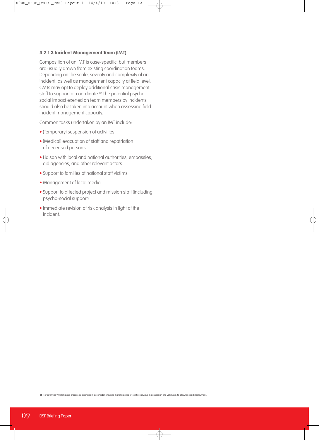#### **4.2.1.3 Incident Management Team (IMT)**

Composition of an IMT is case-specific, but members are usually drawn from existing coordination teams. Depending on the scale, severity and complexity of an incident, as well as management capacity at field level, CMTs may opt to deploy additional crisis management staff to support or coordinate. <sup>12</sup> The potential psychosocial impact exerted on team members by incidents should also be taken into account when assessing field incident management capacity.

Common tasks undertaken by an IMT include:

- (Temporary) suspension of activities
- (Medical) evacuation of staff and repatriation of deceased persons
- Liaison with local and national authorities, embassies, aid agencies, and other relevant actors
- Support to families of national staff victims
- Management of local media
- Support to affected project and mission staff (including psycho-social support)
- Immediate revision of risk analysis in light of the incident.

**12** For countries with long visa processes, agencies may consider ensuring that crisis support staff are always in possession of a valid visa, to allow for rapid deployment.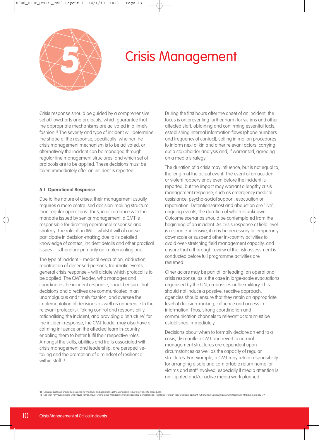

### Crisis Management **5**

Crisis response should be guided by a comprehensive set of flowcharts and protocols, which guarantee that the appropriate mechanisms are activated in a timely fashion. <sup>13</sup> The severity and type of incident will determine the shape of the response, specifically: whether the crisis management mechanism is to be activated, or alternatively the incident can be managed through regular line management structures; and which set of protocols are to be applied. These decisions must be taken immediately after an incident is reported.

#### **5.1. Operational Response**

Due to the nature of crises, their management usually requires a more centralised decision-making structure than regular operations. Thus, in accordance with the mandate issued by senior management, a CMT is responsible for directing operational response and strategy. The role of an IMT – whilst it will of course participate in decision-making due to its detailed knowledge of context, incident details and other practical issues – is therefore primarily an implementing one.

The type of incident – medical evacuation, abduction, repatriation of deceased persons, traumatic events, general crisis response – will dictate which protocol is to be applied. The CMT leader, who manages and coordinates the incident response, should ensure that decisions and directives are communicated in an unambiguous and timely fashion, and oversee the implementation of decisions as well as adherence to the relevant protocol(s). Taking control and responsibility, rationalising the incident, and providing a "structure" for the incident response, the CMT leader may also have a calming influence on the affected team in-country, enabling them to better fulfil their respective roles. Amongst the skills, abilities and traits associated with crisis management and leadership, are perspectivetaking and the promotion of a mindset of resilience within staff. 14

During the first hours after the onset of an incident, the focus is on preventing further harm for victims and other affected staff, obtaining and confirming essential facts, establishing internal information flows (phone numbers and frequency of contact), setting in motion procedures to inform next of kin and other relevant actors, carrying out a stakeholder analysis and, if warranted, agreeing on a media strategy.

The duration of a crisis may influence, but is not equal to, the length of the actual event. The event of an accident or violent robbery ends even before the incident is reported, but the impact may warrant a lengthy crisis management response, such as emergency medical assistance, psycho-social support, evacuation or repatriation. Detention/arrest and abduction are "live", ongoing events, the duration of which is unknown. Outcome scenarios should be contemplated from the beginning of an incident. As crisis response at field level is resource-intensive, it may be necessary to temporarily downscale or suspend other in-country activities to avoid over-stretching field management capacity, and ensure that a thorough review of the risk assessment is conducted before full programme activities are resumed.

Other actors may be part of, or leading, an operational crisis response, as is the case in large-scale evacuations organised by the UN, embassies or the military. This should not induce a passive, reactive approach: agencies should ensure that they retain an appropriate level of decision-making, influence and access to information. Thus, strong coordination and communication channels to relevant actors must be established immediately.

Decisions about when to formally declare an end to a crisis, dismantle a CMT and revert to normal management structures are dependent upon circumstances as well as the capacity of regular structures. For example, a CMT may retain responsibility for arranging a safe and comfortable return home for victims and staff involved, especially if media attention is anticipated and/or active media work planned.

**13** Separate protocols should be designed for medevac and abduction, as these incidents require very specific procedures.

See Lynn Perry Wooten and Erika Hayes James, 2008. Linking Crisis Management and Leadership Competencies: The Role of Human Resource Development. Advances in Developing Human Resources, 10 (3/June), pp.352-79.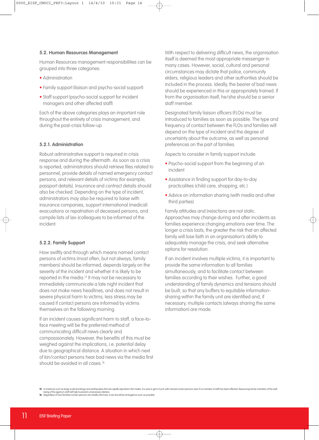#### **5.2. Human Resources Management**

Human Resources management responsibilities can be grouped into three categories:

- Administration
- Family support (liaison and psycho-social support)
- Staff support (psycho-social support for incident managers and other affected staff)

Each of the above categories plays an important role throughout the entirety of crisis management, and during the post-crisis follow-up.

#### **5.2.1. Administration**

Robust administrative support is required in crisis response and during the aftermath. As soon as a crisis is reported, administrators should retrieve files related to personnel, provide details of named emergency contact persons, and relevant details of victims (for example, passport details). Insurance and contract details should also be checked. Depending on the type of incident, administrators may also be required to liaise with insurance companies, support international (medical) evacuations or repatriation of deceased persons, and compile lists of (ex-)colleagues to be informed of the incident.

#### **5.2.2. Family Support**

How swiftly and through which means named contact persons of victims (most often, but not always, family members) should be informed, depends largely on the severity of the incident and whether it is likely to be reported in the media. <sup>15</sup> It may not be necessary to immediately communicate a late night incident that does not make news headlines, and does not result in severe physical harm to victims; less stress may be caused if contact persons are informed by victims themselves on the following morning.

If an incident causes significant harm to staff, a face-toface meeting will be the preferred method of communicating difficult news clearly and compassionately. However, the benefits of this must be weighed against the implications, i.e. potential delay due to geographical distance. A situation in which next of kin/contact persons hear bad news via the media first should be avoided in all cases. 16

With respect to delivering difficult news, the organisation itself is deemed the most appropriate messenger in many cases. However, social, cultural and personal circumstances may dictate that police, community elders, religious leaders and other authorities should be included in the process. Ideally, the bearer of bad news should be experienced in this or appropriately trained. If from the organisation itself, he/she should be a senior staff member.

Designated family liaison officers (FLOs) must be introduced to families as soon as possible. The type and frequency of contact between the FLOs and families will depend on the type of incident and the degree of uncertainty about the outcome, as well as personal preferences on the part of families.

Aspects to consider in family support include:

- Psycho-social support from the beginning of an incident
- Assistance in finding support for day-to-day practicalities (child care, shopping, etc.)
- Advice on information sharing (with media and other third parties)

Family attitudes and (re)actions are not static. Approaches may change during and after incidents as families experience changing emotions over time. The longer a crisis lasts, the greater the risk that an affected family will lose faith in an organisation's ability to adequately manage the crisis, and seek alternative options for resolution.

If an incident involves multiple victims, it is important to provide the same information to all families simultaneously, and to facilitate contact between families according to their wishes. Further, a good understanding of family dynamics and tensions should be built, so that any buffers to equitable informationsharing within the family unit are identified and, if necessary, multiple contacts (always sharing the same information) are made.

<sup>15</sup> In instances such as large-scale bombings and earthquakes that are rapidly reported in the media, it is wise to get in touch with named contact persons even if no member of staff has been affected. Reassuring family mem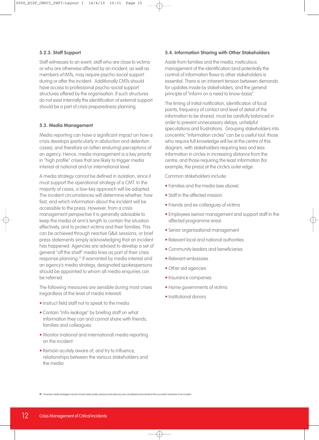#### **5.2.3. Staff Support**

Staff witnesses to an event, staff who are close to victims or who are otherwise affected by an incident, as well as members of IMTs, may require psycho-social support during or after the incident. Additionally CMTs should have access to professional psycho-social support structures offered by the organisation. If such structures do not exist internally the identification of external support should be a part of crisis preparedness planning.

#### **5.3. Media Management**

Media reporting can have a significant impact on how a crisis develops (particularly in abduction and detention cases), and therefore on (often enduring) perceptions of an agency. Hence, media management is a key priority in "high profile" crises that are likely to trigger media interest at national and/or international level.

A media strategy cannot be defined in isolation, since it must support the operational strategy of a CMT. In the majority of cases, a low-key approach will be adopted. The incident circumstances will determine whether, how fast, and which information about the incident will be accessible to the press. However, from a crisis management perspective it is generally advisable to keep the media at arm's length to contain the situation effectively, and to protect victims and their families. This can be achieved through reactive Q&A sessions, or brief press statements simply acknowledging that an incident has happened. Agencies are advised to develop a set of general "off the shelf" media lines as part of their crisis response planning. <sup>17</sup> If warranted by media interest and an agency's media strategy, designated spokespersons should be appointed to whom all media enquiries can be referred.

The following measures are sensible during most crises (regardless of the level of media interest):

- Instruct field staff not to speak to the media
- Contain "info-leakage" by briefing staff on what information they can and cannot share with friends, families and colleagues
- Monitor (national and international) media reporting on the incident
- Remain acutely aware of, and try to influence, relationships between the various stakeholders and the media

#### **5.4. Information Sharing with Other Stakeholders**

Aside from families and the media, meticulous management of the identification (and potentially the control) of information flows to other stakeholders is essential. There is an inherent tension between demands for updates made by stakeholders, and the general principle of "inform on a need to know-basis".

The timing of initial notification, identification of focal points, frequency of contact and level of detail of the information to be shared, must be carefully balanced in order to prevent unnecessary delays, unhelpful speculations and frustrations. Grouping stakeholders into concentric "information circles" can be a useful tool: those who require full knowledge will be at the centre of this diagram, with stakeholders requiring less and less information in circles in increasing distance from the centre, and those requiring the least information (for example, the press) at the circle's outer edge.

Common stakeholders include:

- Families and the media (see above)
- Staff in the affected mission
- Friends and ex-colleagues of victims
- Employees (senior management and support staff in the affected programme area)
- Senior organisational management
- Relevant local and national authorities
- Community leaders and beneficiaries
- Relevant embassies
- Other aid agencies
- Insurance companies
- Home governments of victims
- Institutional donors

**17** Proactive media strategies may be chosen when public pressure and advocacy are considered instrumental to the successful resolution of an incident.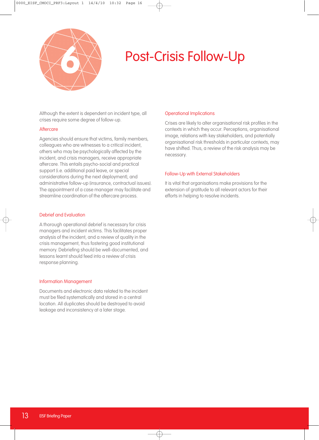

### Post-Crisis Follow-Up **6**

Although the extent is dependent on incident type, all crises require some degree of follow-up.

#### **Aftercare**

Agencies should ensure that victims, family members, colleagues who are witnesses to a critical incident, others who may be psychologically affected by the incident, and crisis managers, receive appropriate aftercare. This entails psycho-social and practical support (i.e. additional paid leave, or special considerations during the next deployment), and administrative follow-up (insurance, contractual issues). The appointment of a case manager may facilitate and streamline coordination of the aftercare process.

#### Debrief and Evaluation

A thorough operational debrief is necessary for crisis managers and incident victims. This facilitates proper analysis of the incident, and a review of quality in the crisis management, thus fostering good institutional memory. Debriefing should be well-documented, and lessons learnt should feed into a review of crisis response planning.

#### Information Management

Documents and electronic data related to the incident must be filed systematically and stored in a central location. All duplicates should be destroyed to avoid leakage and inconsistency at a later stage.

#### Operational Implications

Crises are likely to alter organisational risk profiles in the contexts in which they occur. Perceptions, organisational image, relations with key stakeholders, and potentially organisational risk thresholds in particular contexts, may have shifted. Thus, a review of the risk analysis may be necessary.

#### Follow-Up with External Stakeholders

It is vital that organisations make provisions for the extension of gratitude to all relevant actors for their efforts in helping to resolve incidents.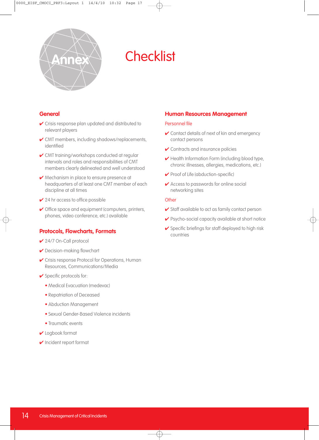

## **Annex** Checklist

#### **General**

- ✔ Crisis response plan updated and distributed to relevant players
- ✔ CMT members, including shadows/replacements, identified
- **✓** CMT training/workshops conducted at regular intervals and roles and responsibilities of CMT members clearly delineated and well understood
- **► Mechanism in place to ensure presence at** headquarters of at least one CMT member of each discipline at all times
- $\vee$  24 hr access to office possible
- ✔ Office space and equipment (computers, printers, phones, video conference, etc.) available

#### **Protocols, Flowcharts, Formats**

- ✔ 24/7 On-Call protocol
- ✔ Decision-making flowchart
- ✔ Crisis response Protocol for Operations, Human Resources, Communications/Media
- ✔ Specific protocols for:
	- Medical Evacuation (medevac)
	- Repatriation of Deceased
	- Abduction Management
	- Sexual Gender-Based Violence incidents
	- Traumatic events
- ✔ Logbook format
- ✔ Incident report format

#### **Human Resources Management**

#### Personnel file

- ✔ Contact details of next of kin and emergency contact persons
- **✔** Contracts and insurance policies
- ✔ Health Information Form (including blood type, chronic illnesses, allergies, medications, etc.)
- ✔ Proof of Life (abduction-specific)
- ✔ Access to passwords for online social networking sites

#### **Other**

- $\checkmark$  Staff available to act as family contact person
- ✔ Psycho-social capacity available at short notice
- $\checkmark$  Specific briefings for staff deployed to high risk countries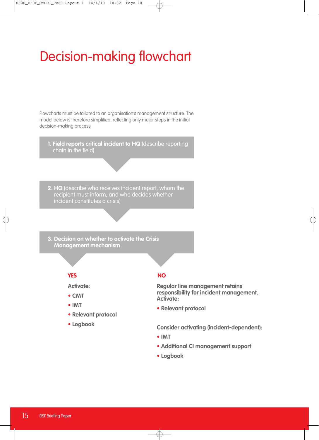### Decision-making flowchart

Flowcharts must be tailored to an organisation's management structure. The model below is therefore simplified, reflecting only major steps in the initial decision-making process.

**1. Field reports critical incident to HQ** (describe reporting chain in the field)

**2. HQ** (describe who receives incident report, whom the recipient must inform, and who decides whether incident constitutes a crisis)

**3. Decision on whether to activate the Crisis Management mechanism**

#### **YES NO**

**Activate:**

- **• CMT**
- **• IMT**
- **• Relevant protocol**
- **• Logbook**

**Regular line management retains responsibility for incident management. Activate:**

**• Relevant protocol**

**Consider activating (incident-dependent):**

- **• IMT**
- **• Additional CI management support**
- **• Logbook**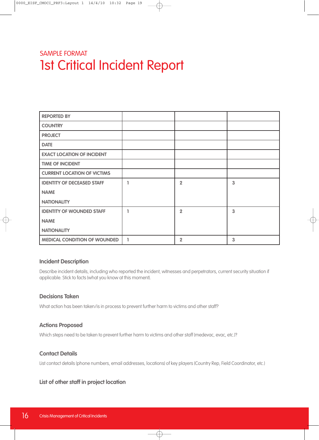### SAMPLE FORMAT 1st Critical Incident Report

| <b>REPORTED BY</b>                  |   |                |                |
|-------------------------------------|---|----------------|----------------|
| <b>COUNTRY</b>                      |   |                |                |
| <b>PROJECT</b>                      |   |                |                |
| <b>DATE</b>                         |   |                |                |
| <b>EXACT LOCATION OF INCIDENT</b>   |   |                |                |
| <b>TIME OF INCIDENT</b>             |   |                |                |
| <b>CURRENT LOCATION OF VICTIMS</b>  |   |                |                |
| <b>IDENTITY OF DECEASED STAFF</b>   |   | $\overline{2}$ | $\overline{3}$ |
| <b>NAME</b>                         |   |                |                |
| <b>NATIONALITY</b>                  |   |                |                |
| <b>IDENTITY OF WOUNDED STAFF</b>    |   | $\overline{2}$ | 3              |
| <b>NAME</b>                         |   |                |                |
| <b>NATIONALITY</b>                  |   |                |                |
| <b>MEDICAL CONDITION OF WOUNDED</b> | 1 | $\overline{2}$ | 3              |

#### **Incident Description**

Describe incident details, including who reported the incident, witnesses and perpetrators, current security situation if applicable. Stick to facts (what you know at this moment).

#### **Decisions Taken**

What action has been taken/is in process to prevent further harm to victims and other staff?

#### **Actions Proposed**

Which steps need to be taken to prevent further harm to victims and other staff (medevac, evac, etc.)?

#### **Contact Details**

List contact details (phone numbers, email addresses, locations) of key players (Country Rep, Field Coordinator, etc.)

### **List of other staff in project location**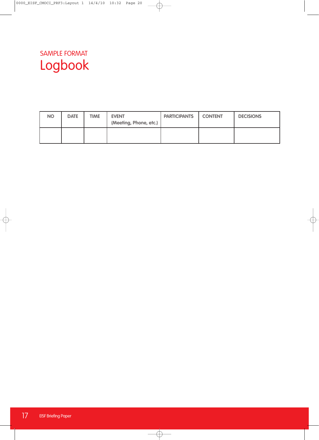### SAMPLE FORMAT Logbook

| <b>NO</b> | <b>DATE</b> | <b>TIME</b> | <b>EVENT</b><br>(Meeting, Phone, etc.) | <b>PARTICIPANTS</b> | <b>CONTENT</b> | <b>DECISIONS</b> |
|-----------|-------------|-------------|----------------------------------------|---------------------|----------------|------------------|
|           |             |             |                                        |                     |                |                  |